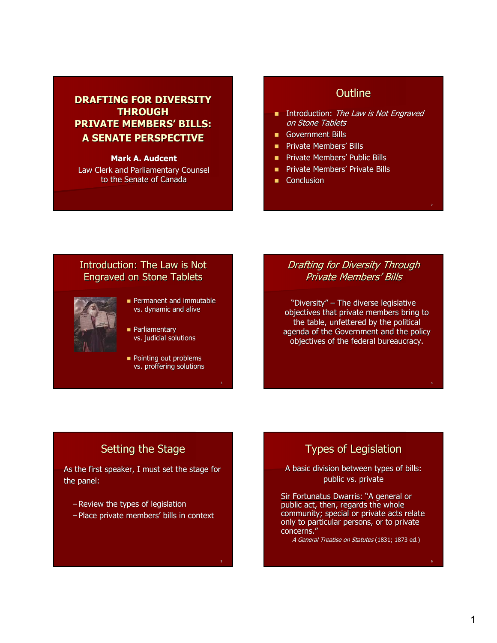# **DRAFTING FOR DIVERSITY THROUGH THROUGH PRIVATE MEMBERS' BILLS: A SENATE PERSPECTIVE**

### **Mark A. Audcent**

Law Clerk and Parliamentary Counsel to the Senate of Canada

# **Outline**

- Introduction: The Law is Not Engraved on Stone Tablets
- Government Bills Government Bills
- **Private Members' Bills**
- **Private Members' Public Bills**
- **Private Members' Private Bills**
- Conclusion

## Introduction: The Law is Not Engraved on Stone Tablets Engraved on Stone Tablets



- **Permanent and immutable** vs. dynamic and alive
- Parliamentary Parliamentary vs. judicial solutions
- **Pointing out problems** vs. proffering solutions

## Drafting for Diversity Through Private Members' Bills Private Members' Bills

"Diversity" – The diverse legislative objectives that private members bring to the table, unfettered by the political agenda of the Government and the policy objectives of the federal bureaucracy.

4

# Setting the Stage

As the first speaker, I must set the stage for the panel:

- Review the types of legislation
- Place private members' bills in context

# Types of Legislation

A basic division between types of bills: public vs. private

Sir Fortunatus Dwarris: "A general or public act, then, regards the whole community; special or private acts relate only to particular persons, or to private concerns."

A General Treatise on Statutes (1831; 1873 ed.)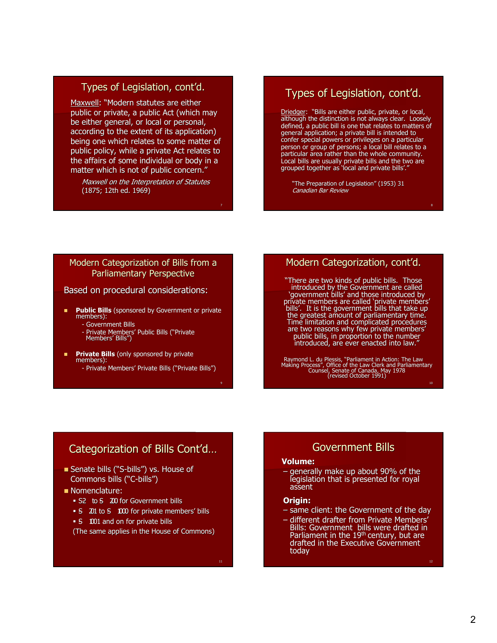## Types of Legislation, cont'd.

Maxwell: "Modern statutes are either public or private, a public Act (which may be either general, or local or personal, according to the extent of its application) being one which relates to some matter of public policy, while a private Act relates to the affairs of some individual or body in a matter which is not of public concern."

Maxwell on the Interpretation of Statutes (1875; 12th ed. 1969) (1875; 12th ed. 1969)

# Types of Legislation, cont'd.

Driedger: "Bills are either public, private, or local, although the distinction is not always clear. Loosely defined, a public bill is one that relates to matters of general application; a private bill is intended to confer special powers or privileges on a particular person or group of persons; a local bill relates to a particular area rather than the whole community. Local bills are usually private bills and the two are grouped together as 'local and private bills'."

"The Preparation of Legislation" (1953) 31 Canadian Bar Review

### Modern Categorization of Bills from a Parliamentary Perspective

### Based on procedural considerations:

- **Public Bills** (sponsored by Government or private members):
	- Government Bills
	- Private Members' Public Bills ("Private Members' Bills")
- **Private Bills** (only sponsored by private members):
	- Private Members' Private Bills ("Private Bills")

### Modern Categorization, cont'd.

"There are two kinds of public bills. Those introduced by the Government are called 'government bills' and those introduced by 'government bills' and those introduced by private members are called 'private members' bills'. It is the government bills that take up the greatest amount of parliamentary time. Time limitation and complicated procedures are two reasons why few private members' public bills, in proportion to the number introduced, are ever enacted into law."

10 Raymond L. du Plessis, "Parliament in Action: The Law<br>Making Process", Office of the Law Clerk and Parliamentary<br>Counsel, Senate of Canada, May 1978<br>Crevised October 1991)

# Categorization of Bills Cont'd…

- Senate bills ("S-bills") vs. House of bills") vs. House of Commons bills ("C-bills")
- Nomenclature: Nomenclature:
	- S2 to S 200 for Government bills
	- -S 201 to S- 1000 for private members' bills
	- **-S** 1001 and on for private bills

(The same applies in the House of Commons) (The same applies in the House of Commons)

Government Bills Government Bills

### **Volume: Volume:**

- generally make up about 90% of the legislation that is presented for royal assent

### **Origin:**

- same client: the Government of the day
- different drafter from Private Members' Private Members' Bills: Government bills were drafted in Parliament in the 19<sup>th</sup> century, but are<br>drafted in the Executive Government today

7

9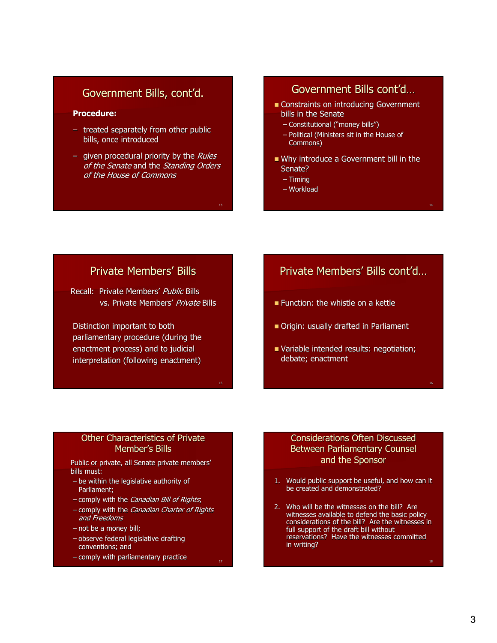# Government Bills, cont'd.

### **Procedure:**

- $-$  treated separately from other public bills, once introduced
- given procedural priority by the Rules of the Senate and the Standing Orders of the House of Commons

13

17

# Government Bills cont'd…

- Constraints on introducing Government Constraints Government bills in the Senate
	- Constitutional ("money bills") Constitutional ("money bills")
	- $-$  Political (Ministers sit in the House of Commons)
- Why introduce a Government bill in the Senate?
	- Timing
	- Workload

# Private Members' Bills Private Members' Bills

Recall: Private Members' Public Bills vs. Private Members' Private Bills

Distinction important to both parliamentary procedure (during the enactment process) and to judicial interpretation (following enactment)

# Private Members' Bills cont'd…

- **Function: the whistle on a kettle**
- Origin: usually drafted in Parliament
- Variable intended results: negotiation; debate; enactment

## Other Characteristics of Private Member's Bills

Public or private, all Senate private members' bills must:

- $-$  be within the legislative authority of Parliament:
- comply with the *Canadian Bill of Rights*;
- comply with the *Canadian Charter of Rights* and Freedoms
- $-$  not be a money bill;
- $-$  observe federal legislative drafting conventions; and
- $-$  comply with parliamentary practice

## Considerations Often Discussed Considerations Often Discussed Between Parliamentary Counsel and the Sponsor

- 1. Would public support be useful, and how can it be created and demonstrated?
- 2. Who will be the witnesses on the bill? Are witnesses available to defend the basic policy considerations of the bill? Are the witnesses in full support of the draft bill without reservations? Have the witnesses committed in writing?

14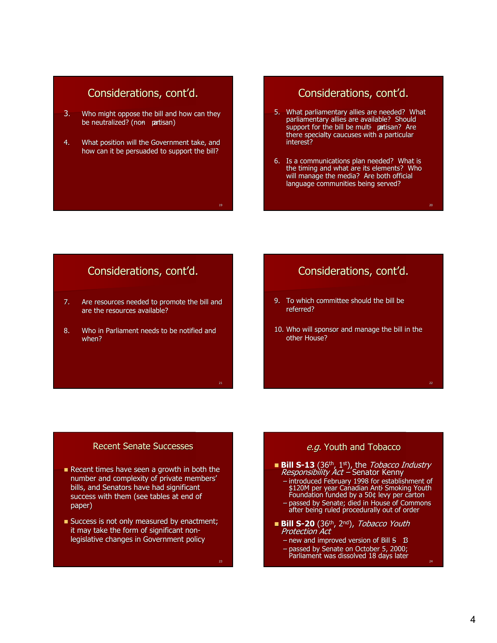# Considerations, cont'd.

- 3. Who might oppose the bill and how can they be neutralized? (non partisan)
- 4. What position will the Government take, and how can it be persuaded to support the bill?

# Considerations, cont'd.

- 5. What parliamentary allies are needed? What parliamentary allies are available? Should support for the bill be multi-patisan? Are there specialty caucuses with a particular interest?
- 6. Is a communications plan needed? What is the timing and what are its elements? Who will manage the media? Are both official language communities being served?

20

24

# Considerations, cont'd.

- 7. Are resources needed to promote the bill and are the resources available?
- 8. Who in Parliament needs to be notified and when?

# Considerations, cont'd.

- 9. To which committee should the bill be referred?
- 10. Who will sponsor and manage the bill in the other House?

## Recent Senate Successes

- Recent times have seen a growth in both the number and complexity of private members' bills, and Senators have had significant success with them (see tables at end of paper)
- Success is not only measured by enactment; it may take the form of significant nonlegislative changes in Government policy

e.g. Youth and Tobacco

- **Bill S-13** (36<sup>th</sup>, 1<sup>st</sup>), the *Tobacco Industry Responsibility Act* Senator Kenny
	- introduced February 1998 for establishment of introduced February 1998 for establishment \$120M per year Canadian Ant<del>i</del> Smoking Youth<br>Foundation funded by a 50¢ levy per carton
	- passed by Senate; died in House of Commons after being ruled procedurally out of order
- $\blacksquare$  Bill S-20 (36<sup>th</sup>, 2<sup>nd</sup>), *Tobacco Youth* Protection Act
	- new and improved version of Bill  $S$   $B$
	- passed by Senate on October 5, 2000; 2000; Parliament was dissolved 18 days later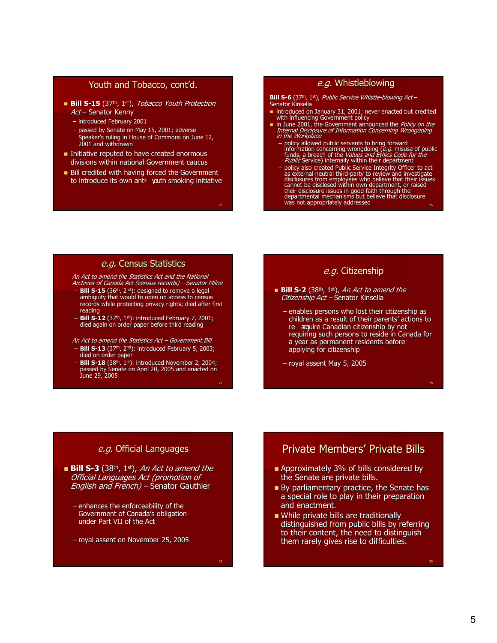### Youth and Tobacco, cont'd. Youth and Tobacco, cont'd.

- $\blacksquare$  **Bill S-15** (37<sup>th</sup>, 1<sup>st</sup>), *Tobacco Youth Protection* Act – Senator Kenny
	- introduced February 2001
	- passed by Senate on May 15, 2001; adverse
	- Speaker's ruling in House of Commons on June 12, 2001 and withdrawn
- $\blacksquare$  Initiative reputed to have created enormous divisions within national Government caucus
- Bill credited with having forced the Government to introduce its own anti- youth smoking initiative

25

### e.g. Whistleblowing

#### **Bill S-6** (37<sup>th</sup>, 1<sup>st</sup>), Public Service Whistle-blowing Act – Senator Kinsella

- introduced on January 31, 2001; never enacted but credited with influencing Government policy
- in June 2001, the Government announced the Policy on the Internal Disclosure of Information Concerning Wrongdoing<br>Internal Disclosure of Information Concerning Wrongdoing<br>in the Workplace
	- policy allowed public servants to bring forward<br>information concerning wrongdoing (*e.g. misuse* of public<br>funds, a breach of the *Values and Ethics Code for the<br>Public* Service) internally within their department
	- policy also created Public Service Integrity Officer to act<br>as external neutral third-party to review and investigate<br>disclosures from employees who believe that their issues cannot be disclosed within own department, or raised<br>their disclosure issues in good faith through the<br>departmental mechanisms but believe that disclosure was not appropriately addressed was not appropriately addressed

### e.g. Census Statistics

An Act to amend the Statistics Act and the National Archives of Canada Act (census records) – Senator Milne

- **Bill S-15** (36<sup>th</sup>, 2<sup>nd</sup>): designed to remove a legal<br>ambiguity that would to open up access to census records while protecting privacy rights; died after first reading
- **Bill S-12** (37th, 1st): introduced February 7, 2001; ): 7, 2001; died again on order paper before third reading

An Act to amend the Statistics Act – Government Bill

- **Bill S-13** (37th, 2nd): introduced February 5, 2003; ): introduced February 5, 2003; died on order paper
- $27$ **Bill S-18** (38<sup>th</sup>, 1<sup>st</sup>): introduced November 2, 2004;<br>passed by Senate on April 20, 2005 and enacted on June 29, 2005

## e.g. Citizenship

- **Bill S-2** (38<sup>th</sup>, 1<sup>st</sup>), An Act to amend the Citizenship Act – Senator Kinsella
	- $-$  enables persons who lost their citizenship as children as a result of their parents' actions to re acquire Canadian citizenship by not requiring such persons to reside in Canada for a year as permanent residents before applying for citizenship

 $28$ 

– royal assent May 5, 2005

### e.g. Official Languages

**Bill S-3** (38<sup>th</sup>, 1<sup>st</sup>), An Act to amend the Official Languages Act (promotion of English and French) – Senator Gauthier

- $-$  enhances the enforceability of the Government of Canada's obligation Government of Canada's obligation under Part VII of the Act
- royal assent on November 25, 2005

# Private Members' Private Bills

- $\blacksquare$  Approximately 3% of bills considered by the Senate are private bills.
- $\blacksquare$  By parliamentary practice, the Senate has a special role to play in their preparation and enactment.
- While private bills are traditionally distinguished from public bills by referring to their content, the need to distinguish them rarely gives rise to difficulties.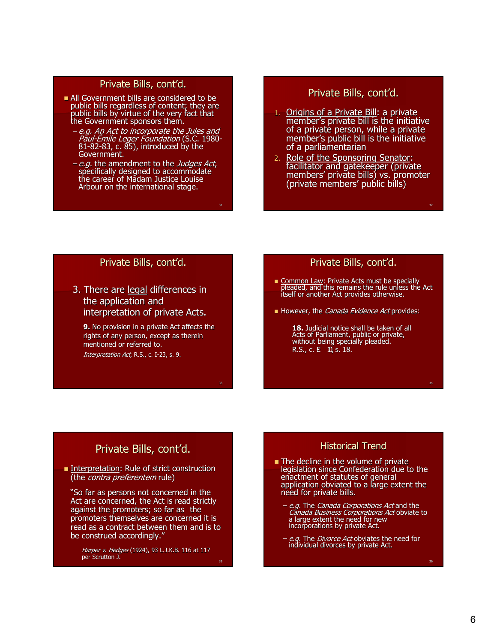## Private Bills, cont'd.

- $\blacksquare$  All Government bills are considered to be public bills regardless of content; they are public bills by virtue of the very fact that the Government sponsors them.
	- –e.g. An Act to incorporate the Jules and An incorporate the Jules and Paul-Émile Leger Foundation (S.C. 1980- 81-82-83, c. 85), introduced by the<br>Government.
	- *e.g.* the amendment to the *Judges Act*,<br>specifically designed to accommodate the career of Madam Justice Louise Arbour on the international stage.

31

33

35

## Private Bills, cont'd.

- 1. <u>Origins of a Private Bill</u>: a private : a private : a private member's private bill is the initiative of a private person, while a private member's public bill is the initiative of a parliamentarian
- 2. Role of the Sponsoring Senator: facilitator and gatekeeper (private members' private bills) vs. promoter (private members' public bills) (private members' public bills)

### Private Bills, cont'd.

3. There are legal differences in the application and interpretation of private Acts.

**9.** No provision in a private Act affects the rights of any person, except as therein mentioned or referred to. Interpretation Act, R.S., c. I-23, s. 9.

### Private Bills, cont'd.

- **Common Law: Private Acts must be specially pleaded, and this remains the rule unless the Act the rule unless the Act the rule unless the Act the rule unless the Act the rule unless the Act the rule unless the Act of the r** itself or another Act provides otherwise.
- However, the *Canada Evidence Act* provides:

**18.** Judicial notice shall be taken of all Acts of Parliament, public or private, without being specially pleaded. R.S., c.  $E$  10, s. 18.

# Private Bills, cont'd.

**Interpretation: Rule of strict construction** (the *contra preferentem* rule)

"So far as persons not concerned in the Act are concerned, the Act is read strictly against the promoters; so far as the promoters themselves are concerned it is read as a contract between them and is to be construed accordingly."

Harper v. Hedges (1924), 93 L.J.K.B. 116 at 117 per Scrutton J.  $\mathsf{per}$  Scrutton J. J. J. Scrutton J. J. Scrutton J. J. Scrutton J. Scrutton J. Scrutton J. J. Scrutton J. J. Scrutton J. J. Scrutton J. J. Scrutton J. J. Scrutton J. J. Scrutton J. Scrutton J. Scrutton J. Scrutton J. Sc

### Historical Trend

- $\blacksquare$  The decline in the volume of private legislation since Confederation due to the enactment of statutes of general application obviated to a large extent the need for private bills.
	- e.g. The *Canada Corporations Act* and the Canada Business Corporations Act obviate to a large extent the need for new incorporations by private Act.
	- e.g. The Divorce Act obviates the need for individual divorces by private Act.

32

.<br>24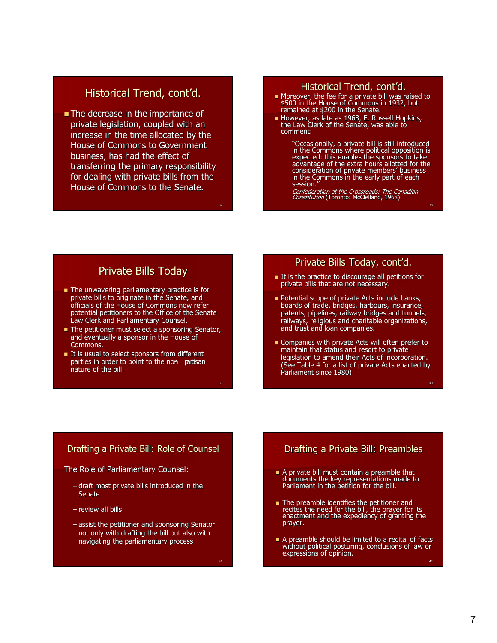# Historical Trend, cont'd.

 $\blacksquare$  The decrease in the importance of private legislation, coupled with an increase in the time allocated by the House of Commons to Government business, has had the effect of transferring the primary responsibility for dealing with private bills from the House of Commons to the Senate.

37

39

41

## Historical Trend, cont'd.

- Moreover, the fee for a private bill was raised to \$500 in the House of Commons in 1932, but remained at \$200 in the Senate.
- However, as late as 1968, E. Russell Hopkins, the Law Clerk of the Senate, was able to comment: comment:

"Occasionally, a private bill is still introduced "Occasionally, bill is introduced in the Commons where political opposition is expected: this enables the sponsors to take advantage of the extra hours allotted for the consideration of private members' business in the Commons in the early part of each session.'

Confederation at the Crossroads: The Canadian Constitution (Toronto: McClelland, 1968)

## Private Bills Today

- The unwavering parliamentary practice is for private bills to originate in the Senate, and officials of the House of Commons now refer potential petitioners to the Office of the Senate Law Clerk and Parliamentary Counsel.
- **The petitioner must select a sponsoring Senator,** and eventually a sponsor in the House of Commons.
- It is usual to select sponsors from different parties in order to point to the non partisan nature of the bill.

### Private Bills Today, cont'd.

- $I$  It is the practice to discourage all petitions for private bills that are not necessary.
- **Potential scope of private Acts include banks,** boards of trade, bridges, harbours, insurance, patents, pipelines, railway bridges and tunnels, railways, religious and charitable organizations, and trust and loan companies.
- Companies with private Acts will often prefer to Companies with private Acts will often prefer to maintain that status and resort to private legislation to amend their Acts of incorporation. (See Table 4 for a list of private Acts enacted by (See Table 4 for a list of private Acts enacted by Parliament since 1980)

### Drafting a Private Bill: Role of Counsel

The Role of Parliamentary Counsel:

- $-$  draft most private bills introduced in the **Senate**
- review all bills
- assist the petitioner and sponsoring Senator not only with drafting the bill but also with navigating the parliamentary process

## Drafting a Private Bill: Preambles

- $\blacksquare$  A private bill must contain a preamble that documents the key representations made to Parliament in the petition for the bill.
- The preamble identifies the petitioner and recites the need for the bill, the prayer for its enactment and the expediency of granting the prayer. prayer.
- $\blacksquare$  A preamble should be limited to a recital of facts without political posturing, conclusions of law or expressions of opinion.

40